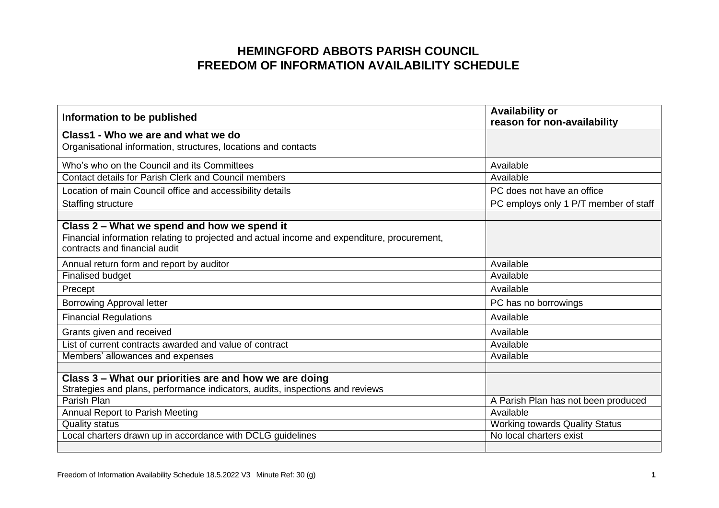## **HEMINGFORD ABBOTS PARISH COUNCIL FREEDOM OF INFORMATION AVAILABILITY SCHEDULE**

| Information to be published                                                                                                                                                 | <b>Availability or</b><br>reason for non-availability |
|-----------------------------------------------------------------------------------------------------------------------------------------------------------------------------|-------------------------------------------------------|
| Class1 - Who we are and what we do<br>Organisational information, structures, locations and contacts                                                                        |                                                       |
| Who's who on the Council and its Committees                                                                                                                                 | Available                                             |
| <b>Contact details for Parish Clerk and Council members</b>                                                                                                                 | Available                                             |
| Location of main Council office and accessibility details                                                                                                                   | PC does not have an office                            |
| Staffing structure                                                                                                                                                          | PC employs only 1 P/T member of staff                 |
| Class 2 – What we spend and how we spend it<br>Financial information relating to projected and actual income and expenditure, procurement,<br>contracts and financial audit |                                                       |
| Annual return form and report by auditor                                                                                                                                    | Available                                             |
| <b>Finalised budget</b>                                                                                                                                                     | Available                                             |
| Precept                                                                                                                                                                     | Available                                             |
| <b>Borrowing Approval letter</b>                                                                                                                                            | PC has no borrowings                                  |
| <b>Financial Regulations</b>                                                                                                                                                | Available                                             |
| Grants given and received                                                                                                                                                   | Available                                             |
| List of current contracts awarded and value of contract                                                                                                                     | Available                                             |
| Members' allowances and expenses                                                                                                                                            | Available                                             |
| Class 3 - What our priorities are and how we are doing<br>Strategies and plans, performance indicators, audits, inspections and reviews                                     |                                                       |
| Parish Plan                                                                                                                                                                 | A Parish Plan has not been produced                   |
| Annual Report to Parish Meeting                                                                                                                                             | Available                                             |
| <b>Quality status</b>                                                                                                                                                       | <b>Working towards Quality Status</b>                 |
| Local charters drawn up in accordance with DCLG guidelines                                                                                                                  | No local charters exist                               |
|                                                                                                                                                                             |                                                       |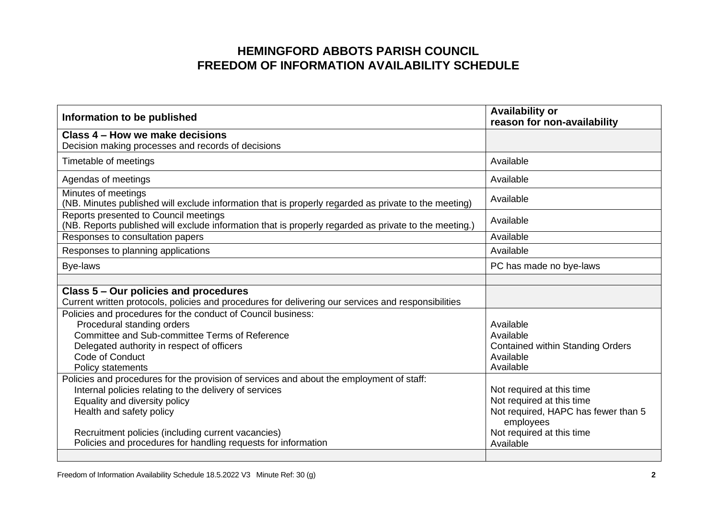## **HEMINGFORD ABBOTS PARISH COUNCIL FREEDOM OF INFORMATION AVAILABILITY SCHEDULE**

| Information to be published                                                                                                                                                                                                                                                                                                            | <b>Availability or</b><br>reason for non-availability                                                                                                |
|----------------------------------------------------------------------------------------------------------------------------------------------------------------------------------------------------------------------------------------------------------------------------------------------------------------------------------------|------------------------------------------------------------------------------------------------------------------------------------------------------|
| Class 4 – How we make decisions<br>Decision making processes and records of decisions                                                                                                                                                                                                                                                  |                                                                                                                                                      |
| Timetable of meetings                                                                                                                                                                                                                                                                                                                  | Available                                                                                                                                            |
| Agendas of meetings                                                                                                                                                                                                                                                                                                                    | Available                                                                                                                                            |
| Minutes of meetings<br>(NB. Minutes published will exclude information that is properly regarded as private to the meeting)                                                                                                                                                                                                            | Available                                                                                                                                            |
| Reports presented to Council meetings<br>(NB. Reports published will exclude information that is properly regarded as private to the meeting.)                                                                                                                                                                                         | Available                                                                                                                                            |
| Responses to consultation papers                                                                                                                                                                                                                                                                                                       | Available                                                                                                                                            |
| Responses to planning applications                                                                                                                                                                                                                                                                                                     | Available                                                                                                                                            |
| Bye-laws                                                                                                                                                                                                                                                                                                                               | PC has made no bye-laws                                                                                                                              |
| Class 5 - Our policies and procedures<br>Current written protocols, policies and procedures for delivering our services and responsibilities                                                                                                                                                                                           |                                                                                                                                                      |
| Policies and procedures for the conduct of Council business:<br>Procedural standing orders<br>Committee and Sub-committee Terms of Reference<br>Delegated authority in respect of officers<br>Code of Conduct<br><b>Policy statements</b>                                                                                              | Available<br>Available<br><b>Contained within Standing Orders</b><br>Available<br>Available                                                          |
| Policies and procedures for the provision of services and about the employment of staff:<br>Internal policies relating to the delivery of services<br>Equality and diversity policy<br>Health and safety policy<br>Recruitment policies (including current vacancies)<br>Policies and procedures for handling requests for information | Not required at this time<br>Not required at this time<br>Not required, HAPC has fewer than 5<br>employees<br>Not required at this time<br>Available |